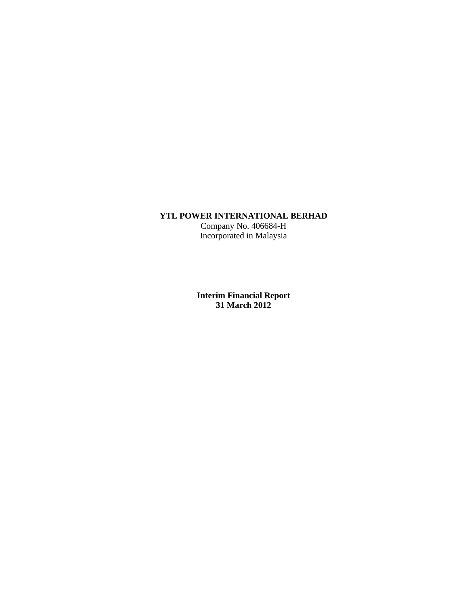# **YTL POWER INTERNATIONAL BERHAD**

Company No. 406684-H Incorporated in Malaysia

**Interim Financial Report 31 March 2012**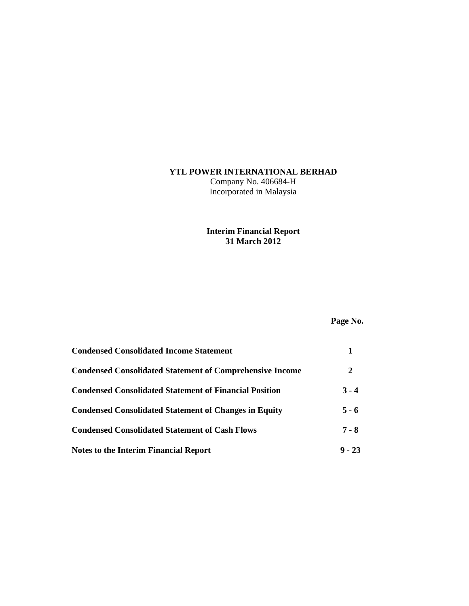# **YTL POWER INTERNATIONAL BERHAD**

Company No. 406684-H Incorporated in Malaysia

# **Interim Financial Report 31 March 2012**

# **Page No.**

| <b>Condensed Consolidated Income Statement</b>                  |          |
|-----------------------------------------------------------------|----------|
| <b>Condensed Consolidated Statement of Comprehensive Income</b> | 2        |
| <b>Condensed Consolidated Statement of Financial Position</b>   | $3 - 4$  |
| <b>Condensed Consolidated Statement of Changes in Equity</b>    | $5 - 6$  |
| <b>Condensed Consolidated Statement of Cash Flows</b>           | $7 - 8$  |
| Notes to the Interim Financial Report                           | $9 - 23$ |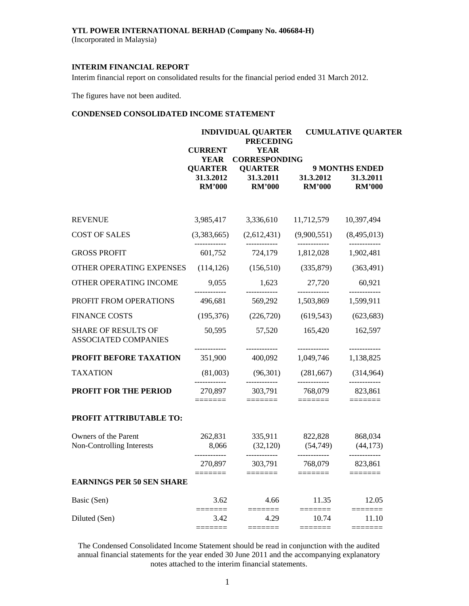(Incorporated in Malaysia)

# **INTERIM FINANCIAL REPORT**

Interim financial report on consolidated results for the financial period ended 31 March 2012.

The figures have not been audited.

# **CONDENSED CONSOLIDATED INCOME STATEMENT**

|                                                    |                                              | <b>INDIVIDUAL QUARTER</b><br><b>PRECEDING</b> |                                                                      | <b>CUMULATIVE QUARTER</b>                           |  |  |
|----------------------------------------------------|----------------------------------------------|-----------------------------------------------|----------------------------------------------------------------------|-----------------------------------------------------|--|--|
|                                                    | <b>CURRENT</b><br><b>YEAR</b>                | <b>YEAR</b><br><b>CORRESPONDING</b>           |                                                                      |                                                     |  |  |
|                                                    | <b>OUARTER</b><br>31.3.2012<br><b>RM'000</b> | <b>QUARTER</b><br>31.3.2011<br><b>RM'000</b>  | 31.3.2012<br><b>RM'000</b>                                           | <b>9 MONTHS ENDED</b><br>31.3.2011<br><b>RM'000</b> |  |  |
| <b>REVENUE</b>                                     | 3,985,417                                    | 3,336,610                                     | 11,712,579                                                           | 10,397,494                                          |  |  |
| <b>COST OF SALES</b>                               | (3,383,665)                                  | (2,612,431)                                   | (9,900,551)                                                          | (8,495,013)                                         |  |  |
| <b>GROSS PROFIT</b>                                | 601,752                                      |                                               | 724,179 1,812,028                                                    | 1,902,481                                           |  |  |
| OTHER OPERATING EXPENSES                           | (114, 126)                                   | (156,510)                                     | (335, 879)                                                           | (363, 491)                                          |  |  |
| OTHER OPERATING INCOME                             | 9,055                                        | 1,623                                         | 27,720                                                               | 60,921                                              |  |  |
| PROFIT FROM OPERATIONS                             | 496,681                                      | 569,292                                       | 1,503,869                                                            | 1,599,911                                           |  |  |
| <b>FINANCE COSTS</b>                               | (195,376)                                    | (226,720)                                     | (619, 543)                                                           | (623, 683)                                          |  |  |
| <b>SHARE OF RESULTS OF</b><br>ASSOCIATED COMPANIES | 50,595                                       | 57,520                                        | 165,420                                                              | 162,597                                             |  |  |
| PROFIT BEFORE TAXATION                             | 351,900                                      | 400,092                                       | ------------<br>1,049,746                                            | ------------<br>1,138,825                           |  |  |
| <b>TAXATION</b>                                    | (81,003)                                     | (96,301)                                      | (281,667)                                                            | (314, 964)                                          |  |  |
| <b>PROFIT FOR THE PERIOD</b>                       | 270,897                                      | 303,791                                       | 768,079<br>$\equiv \equiv \equiv \equiv \equiv \equiv \equiv \equiv$ | 823,861                                             |  |  |
| PROFIT ATTRIBUTABLE TO:                            |                                              |                                               |                                                                      |                                                     |  |  |
| Owners of the Parent<br>Non-Controlling Interests  | 262,831<br>8,066                             | 335,911<br>$(32,120)$ $(54,749)$ $(44,173)$   | 822,828                                                              | 868,034                                             |  |  |
|                                                    | 270,897                                      | 303,791                                       | 768,079                                                              | 823,861                                             |  |  |
| <b>EARNINGS PER 50 SEN SHARE</b>                   | =======                                      | =======                                       | ======                                                               | =======                                             |  |  |
| Basic (Sen)                                        | 3.62                                         | 4.66                                          | 11.35                                                                | 12.05                                               |  |  |
| Diluted (Sen)                                      | 3.42                                         | 4.29                                          | 10.74                                                                | 11.10<br>$=$ $=$ $=$ $=$ $=$                        |  |  |
|                                                    |                                              |                                               |                                                                      |                                                     |  |  |

The Condensed Consolidated Income Statement should be read in conjunction with the audited annual financial statements for the year ended 30 June 2011 and the accompanying explanatory notes attached to the interim financial statements.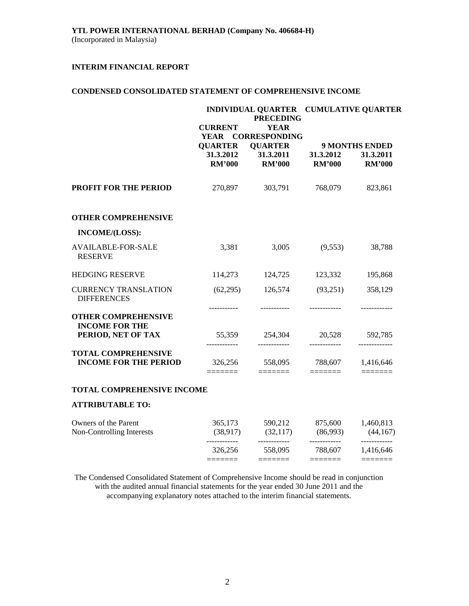# **CONDENSED CONSOLIDATED STATEMENT OF COMPREHENSIVE INCOME**

|                                                            | <b>CURRENT</b>                                              | <b>PRECEDING</b><br><b>YEAR</b>                                      | INDIVIDUAL QUARTER CUMULATIVE QUARTER |                                                     |  |  |
|------------------------------------------------------------|-------------------------------------------------------------|----------------------------------------------------------------------|---------------------------------------|-----------------------------------------------------|--|--|
|                                                            | <b>YEAR</b><br><b>QUARTER</b><br>31.3.2012<br><b>RM'000</b> | <b>CORRESPONDING</b><br><b>QUARTER</b><br>31.3.2011<br><b>RM'000</b> | 31.3.2012<br><b>RM'000</b>            | <b>9 MONTHS ENDED</b><br>31.3.2011<br><b>RM'000</b> |  |  |
| <b>PROFIT FOR THE PERIOD</b>                               | 270,897                                                     | 303,791                                                              | 768,079                               | 823,861                                             |  |  |
| <b>OTHER COMPREHENSIVE</b>                                 |                                                             |                                                                      |                                       |                                                     |  |  |
| INCOME/(LOSS):                                             |                                                             |                                                                      |                                       |                                                     |  |  |
| <b>AVAILABLE-FOR-SALE</b><br><b>RESERVE</b>                | 3,381                                                       | 3,005                                                                | (9,553)                               | 38,788                                              |  |  |
| <b>HEDGING RESERVE</b>                                     | 114,273                                                     | 124,725                                                              | 123,332                               | 195,868                                             |  |  |
| <b>CURRENCY TRANSLATION</b><br><b>DIFFERENCES</b>          | (62,295)                                                    | 126,574                                                              | (93,251)                              | 358,129                                             |  |  |
| <b>OTHER COMPREHENSIVE</b><br><b>INCOME FOR THE</b>        | ----------                                                  |                                                                      |                                       |                                                     |  |  |
| PERIOD, NET OF TAX                                         | ------------                                                | 55,359 254,304<br>------------                                       | 20,528<br>------------                | 592,785<br>-------------                            |  |  |
| <b>TOTAL COMPREHENSIVE</b><br><b>INCOME FOR THE PERIOD</b> | 326,256                                                     | 558,095                                                              | 788,607                               | 1,416,646                                           |  |  |
| TOTAL COMPREHENSIVE INCOME                                 |                                                             |                                                                      |                                       |                                                     |  |  |
| <b>ATTRIBUTABLE TO:</b>                                    |                                                             |                                                                      |                                       |                                                     |  |  |
| Owners of the Parent<br>Non-Controlling Interests          | 365,173<br>(38,917)                                         | 590,212<br>(32,117)                                                  | 875,600<br>(86,993)                   | 1,460,813<br>(44,167)                               |  |  |
|                                                            | 326,256                                                     | ------------<br>558,095                                              | ------------<br>788,607               | ------------<br>1,416,646                           |  |  |

The Condensed Consolidated Statement of Comprehensive Income should be read in conjunction with the audited annual financial statements for the year ended 30 June 2011 and the accompanying explanatory notes attached to the interim financial statements.

======= ======= ======= =======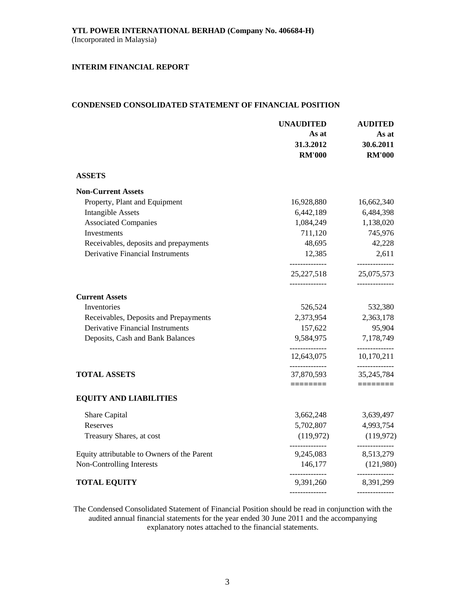# **CONDENSED CONSOLIDATED STATEMENT OF FINANCIAL POSITION**

|                                             | <b>UNAUDITED</b><br>As at<br>31.3.2012<br><b>RM'000</b> | <b>AUDITED</b><br>As at<br>30.6.2011<br><b>RM'000</b> |
|---------------------------------------------|---------------------------------------------------------|-------------------------------------------------------|
| <b>ASSETS</b>                               |                                                         |                                                       |
| <b>Non-Current Assets</b>                   |                                                         |                                                       |
| Property, Plant and Equipment               | 16,928,880                                              | 16,662,340                                            |
| <b>Intangible Assets</b>                    | 6,442,189                                               | 6,484,398                                             |
| <b>Associated Companies</b>                 | 1,084,249                                               | 1,138,020                                             |
| Investments                                 | 711,120                                                 | 745,976                                               |
| Receivables, deposits and prepayments       | 48,695                                                  | 42,228                                                |
| <b>Derivative Financial Instruments</b>     | 12,385<br>--------------                                | 2,611<br>--------------                               |
|                                             | 25, 227, 518                                            | 25,075,573                                            |
| <b>Current Assets</b>                       |                                                         |                                                       |
| Inventories                                 | 526,524                                                 | 532,380                                               |
| Receivables, Deposits and Prepayments       | 2,373,954                                               | 2,363,178                                             |
| <b>Derivative Financial Instruments</b>     | 157,622                                                 | 95,904                                                |
| Deposits, Cash and Bank Balances            | 9,584,975                                               | 7,178,749                                             |
|                                             | --------------<br>12,643,075                            | ------------<br>10,170,211                            |
| <b>TOTAL ASSETS</b>                         | --------------<br>37,870,593                            | --------------<br>35, 245, 784                        |
|                                             | ========                                                |                                                       |
| <b>EQUITY AND LIABILITIES</b>               |                                                         |                                                       |
| Share Capital                               | 3,662,248                                               | 3,639,497                                             |
| Reserves                                    | 5,702,807                                               | 4,993,754                                             |
| Treasury Shares, at cost                    | (119, 972)                                              | (119, 972)                                            |
| Equity attributable to Owners of the Parent | 9,245,083                                               | --------------<br>8,513,279                           |
| Non-Controlling Interests                   | 146,177                                                 | (121,980)                                             |
| <b>TOTAL EQUITY</b>                         | ______________<br>9,391,260                             | -------------<br>8,391,299                            |
|                                             |                                                         | --------------                                        |

The Condensed Consolidated Statement of Financial Position should be read in conjunction with the audited annual financial statements for the year ended 30 June 2011 and the accompanying explanatory notes attached to the financial statements.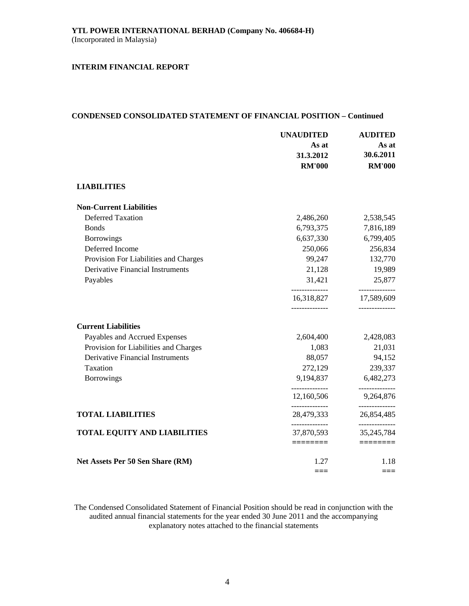### **CONDENSED CONSOLIDATED STATEMENT OF FINANCIAL POSITION – Continued**

|                                         | <b>UNAUDITED</b>             | <b>AUDITED</b>                 |  |
|-----------------------------------------|------------------------------|--------------------------------|--|
|                                         | As at                        | As at                          |  |
|                                         | 31.3.2012                    | 30.6.2011                      |  |
|                                         | <b>RM'000</b>                | <b>RM'000</b>                  |  |
| <b>LIABILITIES</b>                      |                              |                                |  |
| <b>Non-Current Liabilities</b>          |                              |                                |  |
| <b>Deferred Taxation</b>                | 2,486,260                    | 2,538,545                      |  |
| <b>Bonds</b>                            | 6,793,375                    | 7,816,189                      |  |
| <b>Borrowings</b>                       | 6,637,330                    | 6,799,405                      |  |
| Deferred Income                         | 250,066                      | 256,834                        |  |
| Provision For Liabilities and Charges   | 99,247                       | 132,770                        |  |
| <b>Derivative Financial Instruments</b> | 21,128                       | 19,989                         |  |
| Payables                                | 31,421                       | 25,877                         |  |
|                                         | 16,318,827                   | ------------<br>17,589,609     |  |
| <b>Current Liabilities</b>              |                              |                                |  |
| Payables and Accrued Expenses           | 2,604,400                    | 2,428,083                      |  |
| Provision for Liabilities and Charges   | 1,083                        | 21,031                         |  |
| Derivative Financial Instruments        | 88,057                       | 94,152                         |  |
| Taxation                                | 272,129                      | 239,337                        |  |
| <b>Borrowings</b>                       | 9,194,837                    | 6,482,273                      |  |
|                                         | 12,160,506                   | 9,264,876                      |  |
| <b>TOTAL LIABILITIES</b>                | --------------<br>28,479,333 | ------------<br>26,854,485     |  |
| <b>TOTAL EQUITY AND LIABILITIES</b>     | --------------<br>37,870,593 | --------------<br>35, 245, 784 |  |
|                                         | ========                     | ========                       |  |
| Net Assets Per 50 Sen Share (RM)        | 1.27                         | 1.18                           |  |
|                                         |                              | ===                            |  |

The Condensed Consolidated Statement of Financial Position should be read in conjunction with the audited annual financial statements for the year ended 30 June 2011 and the accompanying explanatory notes attached to the financial statements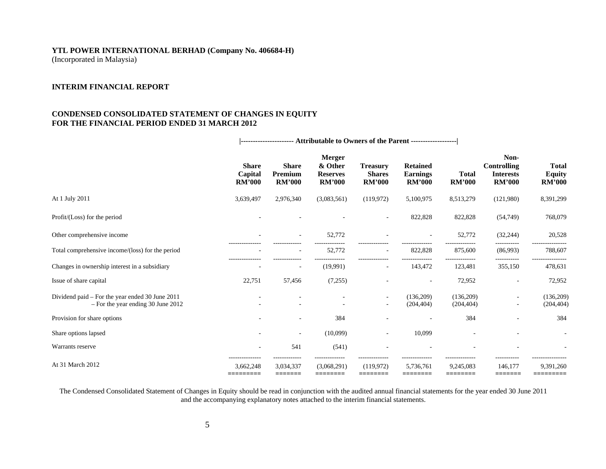(Incorporated in Malaysia)

# **INTERIM FINANCIAL REPORT**

# **CONDENSED CONSOLIDATED STATEMENT OF CHANGES IN EQUITY FOR THE FINANCIAL PERIOD ENDED 31 MARCH 2012**

|                                                                                         | <b>Share</b><br>Capital<br><b>RM'000</b> | <b>Share</b><br>Premium<br><b>RM'000</b> | <b>Merger</b><br>& Other<br><b>Reserves</b><br><b>RM'000</b> | <b>Treasury</b><br><b>Shares</b><br><b>RM'000</b> | <b>Retained</b><br><b>Earnings</b><br><b>RM'000</b> | <b>Total</b><br><b>RM'000</b> | Non-<br><b>Controlling</b><br><b>Interests</b><br><b>RM'000</b> | <b>Total</b><br><b>Equity</b><br><b>RM'000</b> |
|-----------------------------------------------------------------------------------------|------------------------------------------|------------------------------------------|--------------------------------------------------------------|---------------------------------------------------|-----------------------------------------------------|-------------------------------|-----------------------------------------------------------------|------------------------------------------------|
| At 1 July 2011                                                                          | 3,639,497                                | 2,976,340                                | (3,083,561)                                                  | (119, 972)                                        | 5,100,975                                           | 8,513,279                     | (121,980)                                                       | 8,391,299                                      |
| Profit/(Loss) for the period                                                            |                                          |                                          |                                                              | ۰                                                 | 822,828                                             | 822,828                       | (54,749)                                                        | 768,079                                        |
| Other comprehensive income                                                              |                                          | $\sim$                                   | 52,772                                                       |                                                   |                                                     | 52,772                        | (32, 244)                                                       | 20,528                                         |
| Total comprehensive income/(loss) for the period                                        |                                          |                                          | 52,772                                                       | $\overline{\phantom{a}}$                          | 822,828                                             | 875,600                       | -----------<br>(86,993)                                         | 788,607                                        |
| Changes in ownership interest in a subsidiary                                           |                                          |                                          | (19,991)                                                     | $\overline{\phantom{a}}$                          | 143,472                                             | 123,481                       | 355,150                                                         | 478,631                                        |
| Issue of share capital                                                                  | 22,751                                   | 57,456                                   | (7,255)                                                      |                                                   |                                                     | 72,952                        |                                                                 | 72,952                                         |
| Dividend paid – For the year ended 30 June 2011<br>$-$ For the year ending 30 June 2012 |                                          |                                          |                                                              | ٠<br>٠                                            | (136,209)<br>(204, 404)                             | (136,209)<br>(204, 404)       | ٠<br>٠                                                          | (136,209)<br>(204, 404)                        |
| Provision for share options                                                             |                                          |                                          | 384                                                          |                                                   |                                                     | 384                           |                                                                 | 384                                            |
| Share options lapsed                                                                    |                                          |                                          | (10,099)                                                     | $\overline{\phantom{a}}$                          | 10,099                                              |                               |                                                                 |                                                |
| Warrants reserve                                                                        |                                          | 541                                      | (541)                                                        |                                                   |                                                     |                               |                                                                 |                                                |
| At 31 March 2012                                                                        | 3,662,248<br>=========                   | 3,034,337<br>=======                     | (3,068,291)<br>========                                      | (119, 972)<br>========                            | 5,736,761<br>========                               | 9,245,083<br>========         | 146,177<br>=======                                              | 9,391,260<br>=========                         |

 **|---------------------- Attributable to Owners of the Parent -------------------|** 

The Condensed Consolidated Statement of Changes in Equity should be read in conjunction with the audited annual financial statements for the year ended 30 June 2011 and the accompanying explanatory notes attached to the interim financial statements.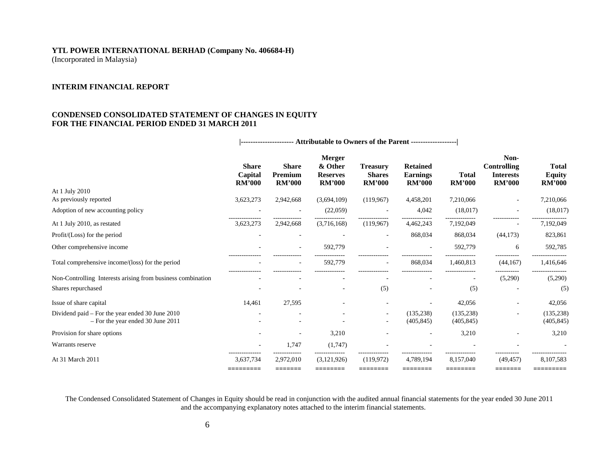(Incorporated in Malaysia)

# **INTERIM FINANCIAL REPORT**

# **CONDENSED CONSOLIDATED STATEMENT OF CHANGES IN EQUITY FOR THE FINANCIAL PERIOD ENDED 31 MARCH 2011**

|                                                             | <b>Share</b><br>Capital<br><b>RM'000</b> | <b>Share</b><br>Premium<br><b>RM'000</b> | <b>Merger</b><br>& Other<br><b>Reserves</b><br><b>RM'000</b> | <b>Treasury</b><br><b>Shares</b><br><b>RM'000</b> | <b>Retained</b><br><b>Earnings</b><br><b>RM'000</b> | <b>Total</b><br><b>RM'000</b> | Non-<br><b>Controlling</b><br><b>Interests</b><br><b>RM'000</b> | <b>Total</b><br><b>Equity</b><br><b>RM'000</b> |
|-------------------------------------------------------------|------------------------------------------|------------------------------------------|--------------------------------------------------------------|---------------------------------------------------|-----------------------------------------------------|-------------------------------|-----------------------------------------------------------------|------------------------------------------------|
| At 1 July 2010                                              |                                          |                                          |                                                              |                                                   |                                                     |                               |                                                                 |                                                |
| As previously reported                                      | 3,623,273                                | 2,942,668                                | (3,694,109)                                                  | (119, 967)                                        | 4,458,201                                           | 7,210,066                     |                                                                 | 7,210,066                                      |
| Adoption of new accounting policy                           |                                          |                                          | (22,059)                                                     |                                                   | 4,042                                               | (18,017)                      |                                                                 | (18,017)                                       |
| At 1 July 2010, as restated                                 | 3,623,273                                | 2,942,668                                | (3,716,168)                                                  | (119, 967)                                        | 4,462,243                                           | 7,192,049                     |                                                                 | 7,192,049                                      |
| Profit/(Loss) for the period                                |                                          |                                          |                                                              | $\overline{\phantom{a}}$                          | 868,034                                             | 868,034                       | (44,173)                                                        | 823,861                                        |
| Other comprehensive income                                  |                                          |                                          | 592,779                                                      |                                                   |                                                     | 592,779                       | 6                                                               | 592,785                                        |
| Total comprehensive income/(loss) for the period            | ---------------                          |                                          | 592,779                                                      | ٠                                                 | 868,034                                             | 1,460,813                     | -----------<br>(44, 167)                                        | 1,416,646                                      |
| Non-Controlling Interests arising from business combination |                                          |                                          |                                                              |                                                   |                                                     |                               | (5,290)                                                         | (5,290)                                        |
| Shares repurchased                                          |                                          |                                          |                                                              | (5)                                               |                                                     | (5)                           |                                                                 | (5)                                            |
| Issue of share capital                                      | 14,461                                   | 27,595                                   |                                                              |                                                   |                                                     | 42,056                        |                                                                 | 42,056                                         |
| Dividend paid – For the year ended 30 June 2010             |                                          |                                          |                                                              | $\overline{\phantom{a}}$                          | (135, 238)                                          | (135, 238)                    |                                                                 | (135, 238)                                     |
| $-$ For the year ended 30 June 2011                         |                                          |                                          |                                                              | $\overline{\phantom{a}}$                          | (405, 845)                                          | (405, 845)                    |                                                                 | (405, 845)                                     |
| Provision for share options                                 |                                          |                                          | 3,210                                                        |                                                   |                                                     | 3,210                         |                                                                 | 3,210                                          |
| Warrants reserve                                            |                                          | 1.747                                    | (1,747)                                                      |                                                   |                                                     |                               |                                                                 |                                                |
| At 31 March 2011                                            | 3,637,734<br>=========                   | 2,972,010<br>=======                     | (3,121,926)<br>========                                      | (119,972)<br>=======                              | 4,789,194<br>========                               | 8,157,040<br>========         | (49, 457)<br>=======                                            | 8,107,583<br>=========                         |

 **|---------------------- Attributable to Owners of the Parent -------------------|** 

 The Condensed Consolidated Statement of Changes in Equity should be read in conjunction with the audited annual financial statements for the year ended 30 June 2011 and the accompanying explanatory notes attached to the interim financial statements.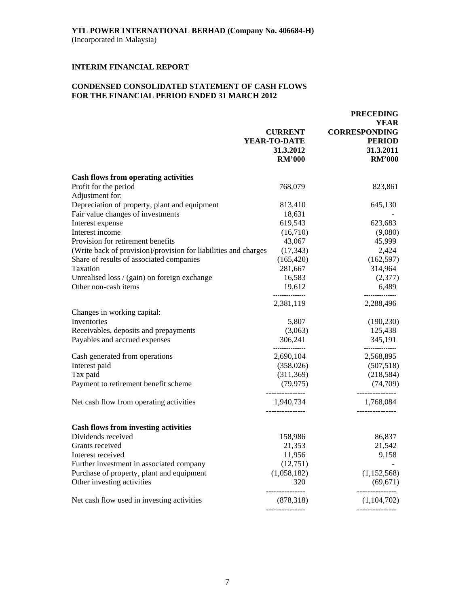# **CONDENSED CONSOLIDATED STATEMENT OF CASH FLOWS FOR THE FINANCIAL PERIOD ENDED 31 MARCH 2012**

|                                                                 |                                | <b>PRECEDING</b><br><b>YEAR</b>       |
|-----------------------------------------------------------------|--------------------------------|---------------------------------------|
|                                                                 | <b>CURRENT</b><br>YEAR-TO-DATE | <b>CORRESPONDING</b><br><b>PERIOD</b> |
|                                                                 | 31.3.2012<br><b>RM'000</b>     | 31.3.2011<br><b>RM'000</b>            |
| <b>Cash flows from operating activities</b>                     |                                |                                       |
| Profit for the period                                           | 768,079                        | 823,861                               |
| Adjustment for:                                                 |                                |                                       |
| Depreciation of property, plant and equipment                   | 813,410                        | 645,130                               |
| Fair value changes of investments                               | 18,631                         |                                       |
| Interest expense                                                | 619,543                        | 623,683                               |
| Interest income                                                 | (16,710)                       | (9,080)                               |
| Provision for retirement benefits                               | 43,067                         | 45,999                                |
| (Write back of provision)/provision for liabilities and charges | (17, 343)                      | 2,424                                 |
| Share of results of associated companies                        | (165, 420)                     | (162, 597)                            |
| Taxation                                                        | 281,667                        | 314,964                               |
| Unrealised loss / (gain) on foreign exchange                    | 16,583                         | (2,377)                               |
| Other non-cash items                                            | 19,612                         | 6,489                                 |
|                                                                 | 2,381,119                      | 2,288,496                             |
| Changes in working capital:                                     |                                |                                       |
| Inventories                                                     | 5,807                          | (190, 230)                            |
| Receivables, deposits and prepayments                           | (3,063)                        | 125,438                               |
| Payables and accrued expenses                                   | 306,241<br>---------------     | 345,191<br>-------------              |
| Cash generated from operations                                  | 2,690,104                      | 2,568,895                             |
| Interest paid                                                   | (358, 026)                     | (507,518)                             |
| Tax paid                                                        | (311, 369)                     | (218,584)                             |
| Payment to retirement benefit scheme                            | (79, 975)                      | (74, 709)                             |
| Net cash flow from operating activities                         | ---------------<br>1,940,734   | -------------<br>1,768,084            |
| <b>Cash flows from investing activities</b>                     |                                |                                       |
| Dividends received                                              | 158,986                        | 86,837                                |
| Grants received                                                 | 21,353                         | 21,542                                |
| Interest received                                               | 11,956                         | 9,158                                 |
| Further investment in associated company                        | (12,751)                       |                                       |
| Purchase of property, plant and equipment                       | (1,058,182)                    | (1, 152, 568)                         |
| Other investing activities                                      | 320                            | (69, 671)                             |
| Net cash flow used in investing activities                      | (878, 318)                     | -----------<br>(1,104,702)            |
|                                                                 |                                |                                       |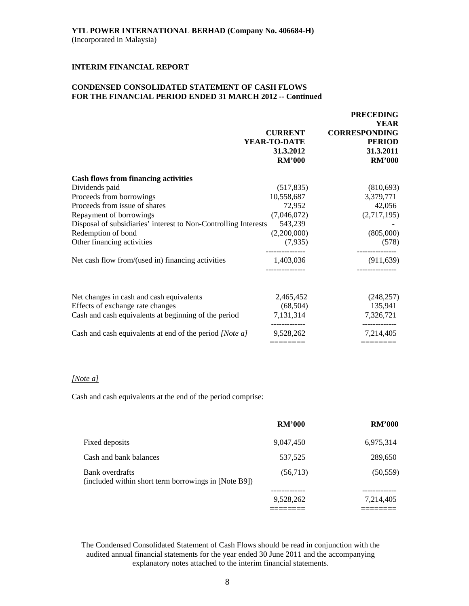# **CONDENSED CONSOLIDATED STATEMENT OF CASH FLOWS FOR THE FINANCIAL PERIOD ENDED 31 MARCH 2012 -- Continued**

|                                                                 | <b>CURRENT</b><br>YEAR-TO-DATE<br>31.3.2012<br><b>RM'000</b> | <b>FRECEDING</b><br><b>YEAR</b><br><b>CORRESPONDING</b><br><b>PERIOD</b><br>31.3.2011<br><b>RM'000</b> |
|-----------------------------------------------------------------|--------------------------------------------------------------|--------------------------------------------------------------------------------------------------------|
| <b>Cash flows from financing activities</b>                     |                                                              |                                                                                                        |
| Dividends paid                                                  | (517, 835)                                                   | (810,693)                                                                                              |
| Proceeds from borrowings                                        | 10,558,687                                                   | 3,379,771                                                                                              |
| Proceeds from issue of shares                                   | 72,952                                                       | 42,056                                                                                                 |
| Repayment of borrowings                                         | (7,046,072)                                                  | (2,717,195)                                                                                            |
| Disposal of subsidiaries' interest to Non-Controlling Interests | 543,239                                                      |                                                                                                        |
| Redemption of bond                                              | (2,200,000)                                                  | (805,000)                                                                                              |
| Other financing activities                                      | (7,935)                                                      | (578)                                                                                                  |
| Net cash flow from/(used in) financing activities               | 1,403,036                                                    | (911, 639)                                                                                             |
| Net changes in cash and cash equivalents                        | 2,465,452                                                    | (248, 257)                                                                                             |
| Effects of exchange rate changes                                | (68, 504)                                                    | 135,941                                                                                                |
| Cash and cash equivalents at beginning of the period            | 7,131,314                                                    | 7,326,721                                                                                              |
| Cash and cash equivalents at end of the period [Note a]         | 9,528,262                                                    | 7,214,405                                                                                              |
|                                                                 | =======                                                      | =======                                                                                                |

 **PRECEDING** 

# *[Note a]*

Cash and cash equivalents at the end of the period comprise:

|                                                                         | <b>RM'000</b> | <b>RM'000</b> |
|-------------------------------------------------------------------------|---------------|---------------|
| Fixed deposits                                                          | 9,047,450     | 6,975,314     |
| Cash and bank balances                                                  | 537,525       | 289,650       |
| Bank overdrafts<br>(included within short term borrowings in [Note B9]) | (56, 713)     | (50, 559)     |
|                                                                         | 9,528,262     | 7,214,405     |
|                                                                         |               |               |

The Condensed Consolidated Statement of Cash Flows should be read in conjunction with the audited annual financial statements for the year ended 30 June 2011 and the accompanying explanatory notes attached to the interim financial statements.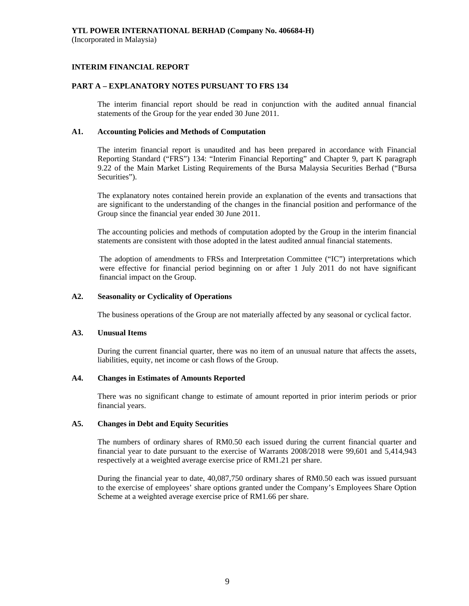# **INTERIM FINANCIAL REPORT**

# **PART A – EXPLANATORY NOTES PURSUANT TO FRS 134**

The interim financial report should be read in conjunction with the audited annual financial statements of the Group for the year ended 30 June 2011.

# **A1. Accounting Policies and Methods of Computation**

The interim financial report is unaudited and has been prepared in accordance with Financial Reporting Standard ("FRS") 134: "Interim Financial Reporting" and Chapter 9, part K paragraph 9.22 of the Main Market Listing Requirements of the Bursa Malaysia Securities Berhad ("Bursa Securities").

The explanatory notes contained herein provide an explanation of the events and transactions that are significant to the understanding of the changes in the financial position and performance of the Group since the financial year ended 30 June 2011.

The accounting policies and methods of computation adopted by the Group in the interim financial statements are consistent with those adopted in the latest audited annual financial statements.

The adoption of amendments to FRSs and Interpretation Committee ("IC") interpretations which were effective for financial period beginning on or after 1 July 2011 do not have significant financial impact on the Group.

# **A2. Seasonality or Cyclicality of Operations**

The business operations of the Group are not materially affected by any seasonal or cyclical factor.

# **A3. Unusual Items**

 During the current financial quarter, there was no item of an unusual nature that affects the assets, liabilities, equity, net income or cash flows of the Group.

# **A4. Changes in Estimates of Amounts Reported**

 There was no significant change to estimate of amount reported in prior interim periods or prior financial years.

### **A5. Changes in Debt and Equity Securities**

 The numbers of ordinary shares of RM0.50 each issued during the current financial quarter and financial year to date pursuant to the exercise of Warrants 2008/2018 were 99,601 and 5,414,943 respectively at a weighted average exercise price of RM1.21 per share.

 During the financial year to date, 40,087,750 ordinary shares of RM0.50 each was issued pursuant to the exercise of employees' share options granted under the Company's Employees Share Option Scheme at a weighted average exercise price of RM1.66 per share.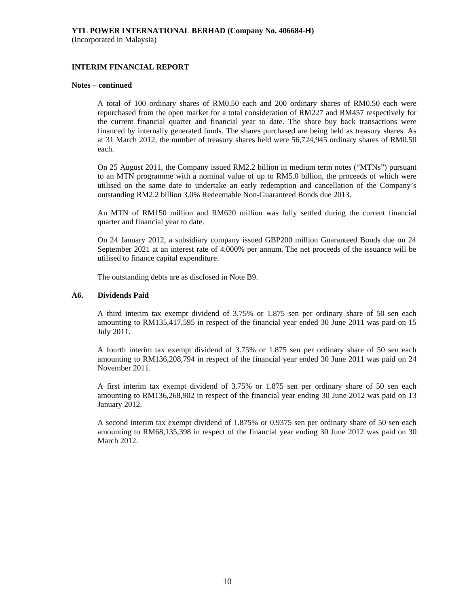# **INTERIM FINANCIAL REPORT**

#### **Notes – continued**

 A total of 100 ordinary shares of RM0.50 each and 200 ordinary shares of RM0.50 each were repurchased from the open market for a total consideration of RM227 and RM457 respectively for the current financial quarter and financial year to date. The share buy back transactions were financed by internally generated funds. The shares purchased are being held as treasury shares. As at 31 March 2012, the number of treasury shares held were 56,724,945 ordinary shares of RM0.50 each.

 On 25 August 2011, the Company issued RM2.2 billion in medium term notes ("MTNs") pursuant to an MTN programme with a nominal value of up to RM5.0 billion, the proceeds of which were utilised on the same date to undertake an early redemption and cancellation of the Company's outstanding RM2.2 billion 3.0% Redeemable Non-Guaranteed Bonds due 2013.

 An MTN of RM150 million and RM620 million was fully settled during the current financial quarter and financial year to date.

On 24 January 2012, a subsidiary company issued GBP200 million Guaranteed Bonds due on 24 September 2021 at an interest rate of 4.000% per annum. The net proceeds of the issuance will be utilised to finance capital expenditure.

The outstanding debts are as disclosed in Note B9.

### **A6. Dividends Paid**

 A third interim tax exempt dividend of 3.75% or 1.875 sen per ordinary share of 50 sen each amounting to RM135,417,595 in respect of the financial year ended 30 June 2011 was paid on 15 July 2011.

 A fourth interim tax exempt dividend of 3.75% or 1.875 sen per ordinary share of 50 sen each amounting to RM136,208,794 in respect of the financial year ended 30 June 2011 was paid on 24 November 2011.

 A first interim tax exempt dividend of 3.75% or 1.875 sen per ordinary share of 50 sen each amounting to RM136,268,902 in respect of the financial year ending 30 June 2012 was paid on 13 January 2012.

 A second interim tax exempt dividend of 1.875% or 0.9375 sen per ordinary share of 50 sen each amounting to RM68,135,398 in respect of the financial year ending 30 June 2012 was paid on 30 March 2012.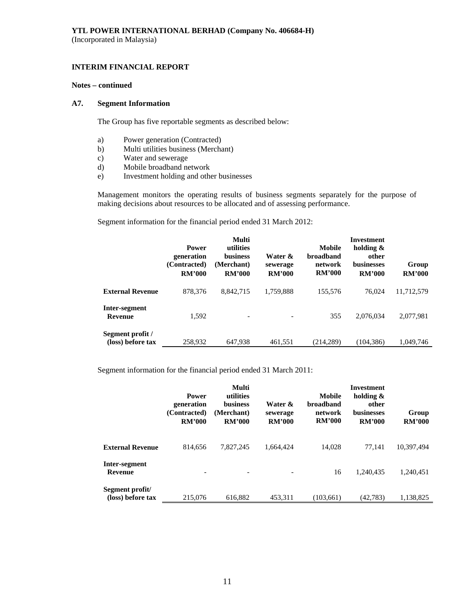# **INTERIM FINANCIAL REPORT**

### **Notes – continued**

### **A7. Segment Information**

The Group has five reportable segments as described below:

- a) Power generation (Contracted)
- b) Multi utilities business (Merchant)
- c) Water and sewerage
- d) Mobile broadband network
- e) Investment holding and other businesses

 Management monitors the operating results of business segments separately for the purpose of making decisions about resources to be allocated and of assessing performance.

Segment information for the financial period ended 31 March 2012:

|                                       | <b>Power</b><br>generation<br>(Contracted)<br><b>RM'000</b> | Multi<br>utilities<br>business<br>(Merchant)<br><b>RM'000</b> | Water &<br>sewerage<br><b>RM'000</b> | Mobile<br><b>broadband</b><br>network<br><b>RM'000</b> | Investment<br>holding $\&$<br>other<br><b>businesses</b><br><b>RM'000</b> | Group<br><b>RM'000</b> |
|---------------------------------------|-------------------------------------------------------------|---------------------------------------------------------------|--------------------------------------|--------------------------------------------------------|---------------------------------------------------------------------------|------------------------|
| <b>External Revenue</b>               | 878,376                                                     | 8.842.715                                                     | 1,759,888                            | 155.576                                                | 76,024                                                                    | 11,712,579             |
| Inter-segment<br><b>Revenue</b>       | 1,592                                                       | $\overline{\phantom{a}}$                                      |                                      | 355                                                    | 2.076.034                                                                 | 2,077,981              |
| Segment profit /<br>(loss) before tax | 258,932                                                     | 647,938                                                       | 461,551                              | (214, 289)                                             | (104, 386)                                                                | 1.049.746              |

Segment information for the financial period ended 31 March 2011:

|                                      | <b>Power</b><br>generation<br>(Contracted)<br><b>RM'000</b> | Multi<br>utilities<br><b>business</b><br>(Merchant)<br><b>RM'000</b> | Water &<br>sewerage<br><b>RM'000</b> | Mobile<br><b>broadband</b><br>network<br><b>RM'000</b> | Investment<br>holding $\&$<br>other<br><b>businesses</b><br><b>RM'000</b> | Group<br><b>RM'000</b> |
|--------------------------------------|-------------------------------------------------------------|----------------------------------------------------------------------|--------------------------------------|--------------------------------------------------------|---------------------------------------------------------------------------|------------------------|
| <b>External Revenue</b>              | 814.656                                                     | 7.827.245                                                            | 1.664.424                            | 14,028                                                 | 77.141                                                                    | 10,397,494             |
| Inter-segment<br><b>Revenue</b>      | ۰                                                           |                                                                      |                                      | 16                                                     | 1.240.435                                                                 | 1,240,451              |
| Segment profit/<br>(loss) before tax | 215,076                                                     | 616.882                                                              | 453.311                              | (103.661)                                              | (42.783)                                                                  | 1.138.825              |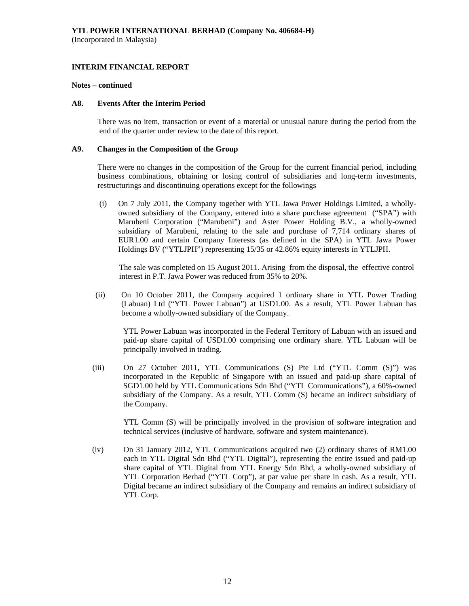#### **Notes – continued**

### **A8. Events After the Interim Period**

There was no item, transaction or event of a material or unusual nature during the period from the end of the quarter under review to the date of this report.

### **A9. Changes in the Composition of the Group**

 There were no changes in the composition of the Group for the current financial period, including business combinations, obtaining or losing control of subsidiaries and long-term investments, restructurings and discontinuing operations except for the followings

(i) On 7 July 2011, the Company together with YTL Jawa Power Holdings Limited, a whollyowned subsidiary of the Company, entered into a share purchase agreement ("SPA") with Marubeni Corporation ("Marubeni") and Aster Power Holding B.V., a wholly-owned subsidiary of Marubeni, relating to the sale and purchase of 7,714 ordinary shares of EUR1.00 and certain Company Interests (as defined in the SPA) in YTL Jawa Power Holdings BV ("YTLJPH") representing 15/35 or 42.86% equity interests in YTLJPH.

 The sale was completed on 15 August 2011. Arising from the disposal, the effective control interest in P.T. Jawa Power was reduced from 35% to 20%.

(ii) On 10 October 2011, the Company acquired 1 ordinary share in YTL Power Trading (Labuan) Ltd ("YTL Power Labuan") at USD1.00. As a result, YTL Power Labuan has become a wholly-owned subsidiary of the Company.

YTL Power Labuan was incorporated in the Federal Territory of Labuan with an issued and paid-up share capital of USD1.00 comprising one ordinary share. YTL Labuan will be principally involved in trading.

(iii) On 27 October 2011, YTL Communications (S) Pte Ltd ("YTL Comm (S)") was incorporated in the Republic of Singapore with an issued and paid-up share capital of SGD1.00 held by YTL Communications Sdn Bhd ("YTL Communications"), a 60%-owned subsidiary of the Company. As a result, YTL Comm (S) became an indirect subsidiary of the Company.

YTL Comm (S) will be principally involved in the provision of software integration and technical services (inclusive of hardware, software and system maintenance).

(iv) On 31 January 2012, YTL Communications acquired two (2) ordinary shares of RM1.00 each in YTL Digital Sdn Bhd ("YTL Digital"), representing the entire issued and paid-up share capital of YTL Digital from YTL Energy Sdn Bhd, a wholly-owned subsidiary of YTL Corporation Berhad ("YTL Corp"), at par value per share in cash. As a result, YTL Digital became an indirect subsidiary of the Company and remains an indirect subsidiary of YTL Corp.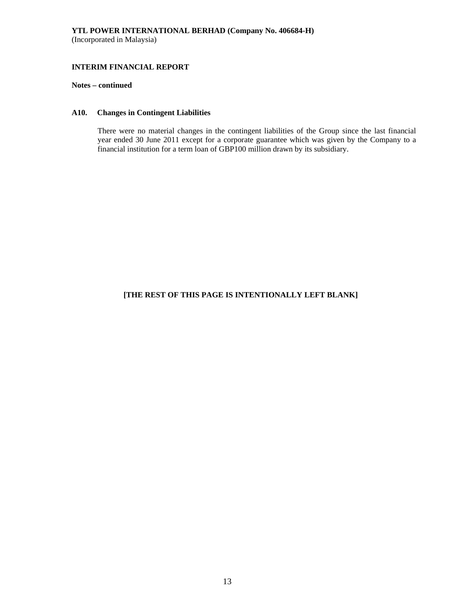### **Notes – continued**

### **A10. Changes in Contingent Liabilities**

There were no material changes in the contingent liabilities of the Group since the last financial year ended 30 June 2011 except for a corporate guarantee which was given by the Company to a financial institution for a term loan of GBP100 million drawn by its subsidiary.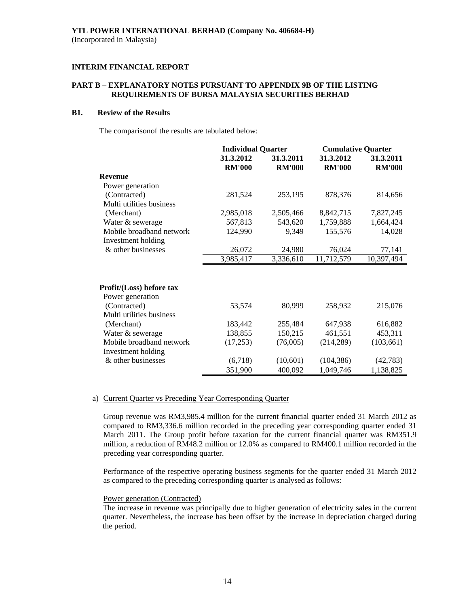# **PART B – EXPLANATORY NOTES PURSUANT TO APPENDIX 9B OF THE LISTING REQUIREMENTS OF BURSA MALAYSIA SECURITIES BERHAD**

# **B1. Review of the Results**

The comparisonof the results are tabulated below:

|                                          | <b>Individual Quarter</b>  |                            | <b>Cumulative Quarter</b>  |                            |
|------------------------------------------|----------------------------|----------------------------|----------------------------|----------------------------|
|                                          | 31.3.2012<br><b>RM'000</b> | 31.3.2011<br><b>RM'000</b> | 31.3.2012<br><b>RM'000</b> | 31.3.2011<br><b>RM'000</b> |
| <b>Revenue</b>                           |                            |                            |                            |                            |
| Power generation                         |                            |                            |                            |                            |
| (Contracted)                             | 281,524                    | 253,195                    | 878,376                    | 814,656                    |
| Multi utilities business                 |                            |                            |                            |                            |
| (Merchant)                               | 2,985,018                  | 2,505,466                  | 8,842,715                  | 7,827,245                  |
| Water & sewerage                         | 567,813                    | 543,620                    | 1,759,888                  | 1,664,424                  |
| Mobile broadband network                 | 124,990                    | 9,349                      | 155,576                    | 14,028                     |
| Investment holding                       |                            |                            |                            |                            |
| & other businesses                       | 26,072                     | 24,980                     | 76,024                     | 77,141                     |
|                                          | 3,985,417                  | 3,336,610                  | 11,712,579                 | 10,397,494                 |
| Profit/(Loss) before tax                 |                            |                            |                            |                            |
| Power generation                         |                            |                            |                            |                            |
| (Contracted)<br>Multi utilities business | 53,574                     | 80,999                     | 258,932                    | 215,076                    |
| (Merchant)                               | 183,442                    | 255,484                    | 647,938                    | 616,882                    |
| Water & sewerage                         | 138,855                    | 150,215                    | 461,551                    | 453,311                    |
| Mobile broadband network                 | (17,253)                   | (76,005)                   | (214, 289)                 | (103, 661)                 |
| Investment holding                       |                            |                            |                            |                            |
| & other businesses                       | (6,718)                    | (10,601)                   | (104, 386)                 | (42, 783)                  |
|                                          | 351,900                    | 400,092                    | 1,049,746                  | 1,138,825                  |

#### a) Current Quarter vs Preceding Year Corresponding Quarter

Group revenue was RM3,985.4 million for the current financial quarter ended 31 March 2012 as compared to RM3,336.6 million recorded in the preceding year corresponding quarter ended 31 March 2011. The Group profit before taxation for the current financial quarter was RM351.9 million, a reduction of RM48.2 million or 12.0% as compared to RM400.1 million recorded in the preceding year corresponding quarter.

 Performance of the respective operating business segments for the quarter ended 31 March 2012 as compared to the preceding corresponding quarter is analysed as follows:

#### Power generation (Contracted)

The increase in revenue was principally due to higher generation of electricity sales in the current quarter. Nevertheless, the increase has been offset by the increase in depreciation charged during the period.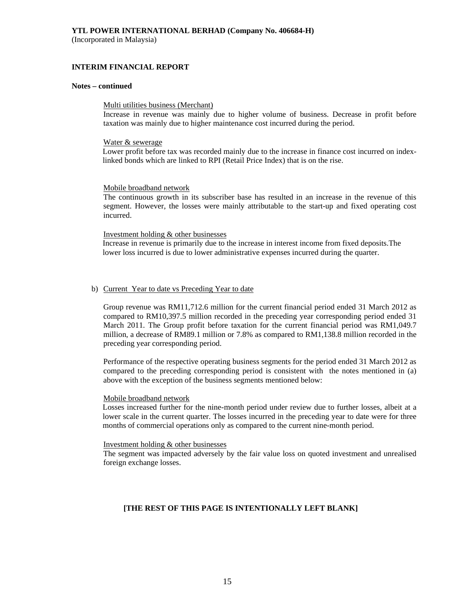(Incorporated in Malaysia)

## **INTERIM FINANCIAL REPORT**

# **Notes – continued**

#### Multi utilities business (Merchant)

Increase in revenue was mainly due to higher volume of business. Decrease in profit before taxation was mainly due to higher maintenance cost incurred during the period.

#### Water & sewerage

Lower profit before tax was recorded mainly due to the increase in finance cost incurred on indexlinked bonds which are linked to RPI (Retail Price Index) that is on the rise.

#### Mobile broadband network

The continuous growth in its subscriber base has resulted in an increase in the revenue of this segment. However, the losses were mainly attributable to the start-up and fixed operating cost incurred.

#### Investment holding & other businesses

Increase in revenue is primarily due to the increase in interest income from fixed deposits.The lower loss incurred is due to lower administrative expenses incurred during the quarter.

#### b) Current Year to date vs Preceding Year to date

Group revenue was RM11,712.6 million for the current financial period ended 31 March 2012 as compared to RM10,397.5 million recorded in the preceding year corresponding period ended 31 March 2011. The Group profit before taxation for the current financial period was RM1,049.7 million, a decrease of RM89.1 million or 7.8% as compared to RM1,138.8 million recorded in the preceding year corresponding period.

Performance of the respective operating business segments for the period ended 31 March 2012 as compared to the preceding corresponding period is consistent with the notes mentioned in (a) above with the exception of the business segments mentioned below:

#### Mobile broadband network

Losses increased further for the nine-month period under review due to further losses, albeit at a lower scale in the current quarter. The losses incurred in the preceding year to date were for three months of commercial operations only as compared to the current nine-month period.

#### Investment holding & other businesses

The segment was impacted adversely by the fair value loss on quoted investment and unrealised foreign exchange losses.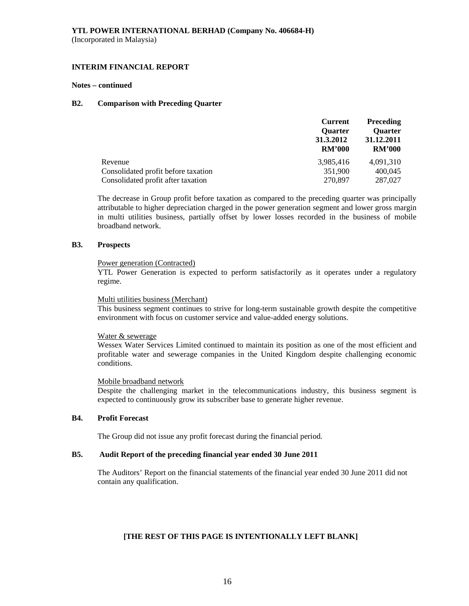# **INTERIM FINANCIAL REPORT**

#### **Notes – continued**

### **B2. Comparison with Preceding Quarter**

|                                     | <b>Preceding</b><br><b>Current</b> |                |
|-------------------------------------|------------------------------------|----------------|
|                                     | <b>Ouarter</b>                     | <b>Quarter</b> |
|                                     | 31.3.2012                          | 31.12.2011     |
|                                     | <b>RM'000</b>                      | <b>RM'000</b>  |
| Revenue                             | 3,985,416                          | 4.091.310      |
| Consolidated profit before taxation | 351,900                            | 400,045        |
| Consolidated profit after taxation  | 270,897                            | 287,027        |

The decrease in Group profit before taxation as compared to the preceding quarter was principally attributable to higher depreciation charged in the power generation segment and lower gross margin in multi utilities business, partially offset by lower losses recorded in the business of mobile broadband network.

#### **B3. Prospects**

#### Power generation (Contracted)

YTL Power Generation is expected to perform satisfactorily as it operates under a regulatory regime.

#### Multi utilities business (Merchant)

This business segment continues to strive for long-term sustainable growth despite the competitive environment with focus on customer service and value-added energy solutions.

### Water & sewerage

Wessex Water Services Limited continued to maintain its position as one of the most efficient and profitable water and sewerage companies in the United Kingdom despite challenging economic conditions.

### Mobile broadband network

Despite the challenging market in the telecommunications industry, this business segment is expected to continuously grow its subscriber base to generate higher revenue.

# **B4. Profit Forecast**

The Group did not issue any profit forecast during the financial period.

# **B5. Audit Report of the preceding financial year ended 30 June 2011**

 The Auditors' Report on the financial statements of the financial year ended 30 June 2011 did not contain any qualification.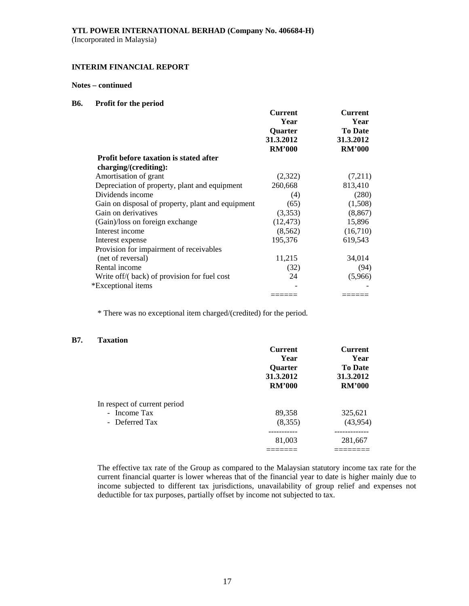(Incorporated in Malaysia)

# **INTERIM FINANCIAL REPORT**

# **Notes – continued**

### **B6. Profit for the period**

|                                                   | <b>Current</b> | Current        |
|---------------------------------------------------|----------------|----------------|
|                                                   | Year           | Year           |
|                                                   | Quarter        | <b>To Date</b> |
|                                                   | 31.3.2012      | 31.3.2012      |
|                                                   | <b>RM'000</b>  | <b>RM'000</b>  |
| <b>Profit before taxation is stated after</b>     |                |                |
| charging/(crediting):                             |                |                |
| Amortisation of grant                             | (2,322)        | (7,211)        |
| Depreciation of property, plant and equipment     | 260,668        | 813,410        |
| Dividends income                                  | (4)            | (280)          |
| Gain on disposal of property, plant and equipment | (65)           | (1,508)        |
| Gain on derivatives                               | (3,353)        | (8, 867)       |
| (Gain)/loss on foreign exchange                   | (12, 473)      | 15,896         |
| Interest income                                   | (8, 562)       | (16,710)       |
| Interest expense                                  | 195,376        | 619,543        |
| Provision for impairment of receivables           |                |                |
| (net of reversal)                                 | 11,215         | 34,014         |
| Rental income                                     | (32)           | (94)           |
| Write off/(back) of provision for fuel cost       | 24             | (5,966)        |
| *Exceptional items                                |                |                |
|                                                   |                |                |

\* There was no exceptional item charged/(credited) for the period.

# **B7. Taxation**

|                              | <b>Current</b> | <b>Current</b>              |
|------------------------------|----------------|-----------------------------|
|                              | Year           | Year                        |
|                              | <b>Ouarter</b> | <b>To Date</b><br>31.3.2012 |
|                              | 31.3.2012      |                             |
|                              | <b>RM'000</b>  | <b>RM'000</b>               |
| In respect of current period |                |                             |
| - Income Tax                 | 89,358         | 325,621                     |
| - Deferred Tax               | (8,355)        | (43, 954)                   |
|                              |                | ---------                   |
|                              | 81,003         | 281,667                     |
|                              |                |                             |

The effective tax rate of the Group as compared to the Malaysian statutory income tax rate for the current financial quarter is lower whereas that of the financial year to date is higher mainly due to income subjected to different tax jurisdictions, unavailability of group relief and expenses not deductible for tax purposes, partially offset by income not subjected to tax.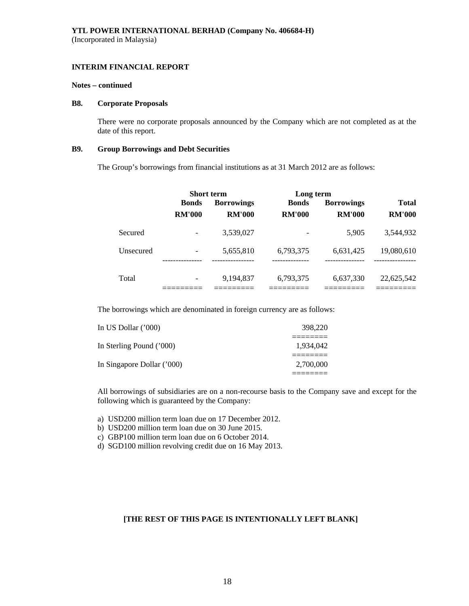#### **Notes – continued**

#### **B8. Corporate Proposals**

There were no corporate proposals announced by the Company which are not completed as at the date of this report.

### **B9. Group Borrowings and Debt Securities**

The Group's borrowings from financial institutions as at 31 March 2012 are as follows:

|           |               | Short term        | Long term                |                         |                             |
|-----------|---------------|-------------------|--------------------------|-------------------------|-----------------------------|
|           | <b>Bonds</b>  | <b>Borrowings</b> | <b>Bonds</b>             | <b>Borrowings</b>       | <b>Total</b>                |
|           | <b>RM'000</b> | <b>RM'000</b>     | <b>RM'000</b>            | <b>RM'000</b>           | <b>RM'000</b>               |
| Secured   |               | 3,539,027         |                          | 5.905                   | 3,544,932                   |
| Unsecured |               | 5,655,810         | 6,793,375<br>----------- | 6,631,425<br>---------- | 19,080,610<br>------------- |
| Total     |               | 9,194,837         | 6,793,375                | 6,637,330               | 22,625,542                  |

The borrowings which are denominated in foreign currency are as follows:

| In US Dollar $(000)$       | 398,220   |
|----------------------------|-----------|
|                            |           |
| In Sterling Pound ('000)   | 1.934.042 |
|                            |           |
| In Singapore Dollar ('000) | 2,700,000 |
|                            |           |

All borrowings of subsidiaries are on a non-recourse basis to the Company save and except for the following which is guaranteed by the Company:

a) USD200 million term loan due on 17 December 2012.

b) USD200 million term loan due on 30 June 2015.

c) GBP100 million term loan due on 6 October 2014.

d) SGD100 million revolving credit due on 16 May 2013.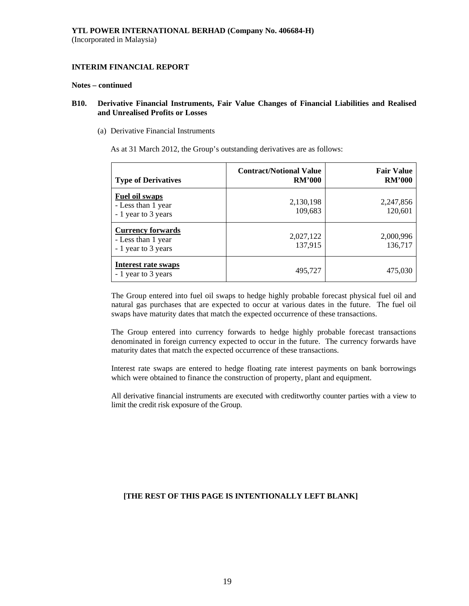#### **Notes – continued**

# **B10. Derivative Financial Instruments, Fair Value Changes of Financial Liabilities and Realised and Unrealised Profits or Losses**

(a) Derivative Financial Instruments

As at 31 March 2012, the Group's outstanding derivatives are as follows:

| <b>Type of Derivatives</b>                                            | <b>Contract/Notional Value</b><br><b>RM'000</b> | <b>Fair Value</b><br><b>RM'000</b> |
|-----------------------------------------------------------------------|-------------------------------------------------|------------------------------------|
| <b>Fuel oil swaps</b><br>- Less than 1 year<br>- 1 year to 3 years    | 2,130,198<br>109,683                            | 2,247,856<br>120,601               |
| <b>Currency forwards</b><br>- Less than 1 year<br>- 1 year to 3 years | 2,027,122<br>137,915                            | 2,000,996<br>136,717               |
| <b>Interest rate swaps</b><br>- 1 year to 3 years                     | 495,727                                         | 475,030                            |

The Group entered into fuel oil swaps to hedge highly probable forecast physical fuel oil and natural gas purchases that are expected to occur at various dates in the future. The fuel oil swaps have maturity dates that match the expected occurrence of these transactions.

The Group entered into currency forwards to hedge highly probable forecast transactions denominated in foreign currency expected to occur in the future. The currency forwards have maturity dates that match the expected occurrence of these transactions.

Interest rate swaps are entered to hedge floating rate interest payments on bank borrowings which were obtained to finance the construction of property, plant and equipment.

All derivative financial instruments are executed with creditworthy counter parties with a view to limit the credit risk exposure of the Group.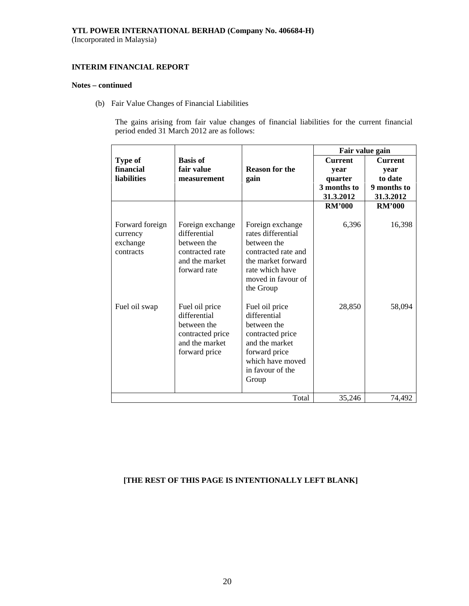# **INTERIM FINANCIAL REPORT**

# **Notes – continued**

(b) Fair Value Changes of Financial Liabilities

The gains arising from fair value changes of financial liabilities for the current financial period ended 31 March 2012 are as follows:

|                                                      |                                                                                                      |                                                                                                                                                          | Fair value gain                                               |                                                               |
|------------------------------------------------------|------------------------------------------------------------------------------------------------------|----------------------------------------------------------------------------------------------------------------------------------------------------------|---------------------------------------------------------------|---------------------------------------------------------------|
| Type of<br>financial<br><b>liabilities</b>           | <b>Basis of</b><br>fair value<br>measurement                                                         | <b>Reason for the</b><br>gain                                                                                                                            | <b>Current</b><br>year<br>quarter<br>3 months to<br>31.3.2012 | <b>Current</b><br>year<br>to date<br>9 months to<br>31.3.2012 |
|                                                      |                                                                                                      |                                                                                                                                                          | <b>RM'000</b>                                                 | <b>RM'000</b>                                                 |
| Forward foreign<br>currency<br>exchange<br>contracts | Foreign exchange<br>differential<br>between the<br>contracted rate<br>and the market<br>forward rate | Foreign exchange<br>rates differential<br>between the<br>contracted rate and<br>the market forward<br>rate which have<br>moved in favour of<br>the Group | 6,396                                                         | 16,398                                                        |
| Fuel oil swap                                        | Fuel oil price<br>differential<br>between the<br>contracted price<br>and the market<br>forward price | Fuel oil price<br>differential<br>between the<br>contracted price<br>and the market<br>forward price<br>which have moved<br>in favour of the<br>Group    | 28,850                                                        | 58,094                                                        |
| Total<br>35,246                                      |                                                                                                      |                                                                                                                                                          |                                                               | 74,492                                                        |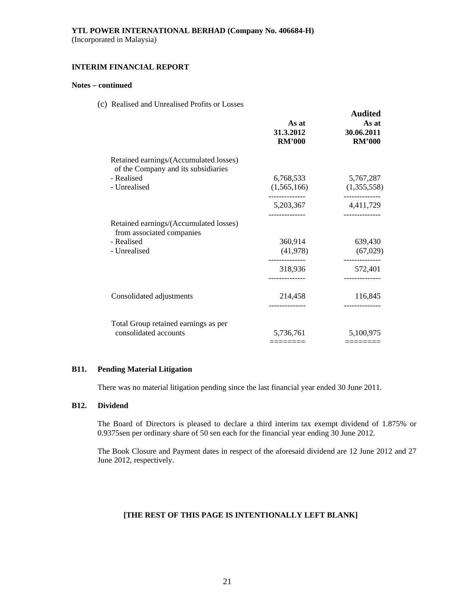# **INTERIM FINANCIAL REPORT**

# **Notes – continued**

(c) Realised and Unrealised Profits or Losses

|                                                                               | As at<br>31.3.2012<br><b>RM'000</b> | <b>Audited</b><br>As at<br>30.06.2011<br><b>RM'000</b> |
|-------------------------------------------------------------------------------|-------------------------------------|--------------------------------------------------------|
| Retained earnings/(Accumulated losses)<br>of the Company and its subsidiaries |                                     |                                                        |
| - Realised                                                                    | 6,768,533                           | 5,767,287                                              |
| - Unrealised                                                                  | (1,565,166)                         | (1,355,558)                                            |
|                                                                               | -------------<br>5,203,367          | ------------<br>4,411,729                              |
| Retained earnings/(Accumulated losses)<br>from associated companies           |                                     |                                                        |
| - Realised                                                                    | 360,914                             | 639,430                                                |
| - Unrealised                                                                  | (41,978)                            | (67, 029)                                              |
|                                                                               | 318,936                             | ------------<br>572,401                                |
|                                                                               |                                     |                                                        |
| Consolidated adjustments                                                      | 214,458                             | 116,845                                                |
|                                                                               |                                     |                                                        |
| Total Group retained earnings as per                                          |                                     |                                                        |
| consolidated accounts                                                         | 5,736,761                           | 5,100,975                                              |
|                                                                               |                                     |                                                        |

### **B11. Pending Material Litigation**

There was no material litigation pending since the last financial year ended 30 June 2011.

# **B12. Dividend**

The Board of Directors is pleased to declare a third interim tax exempt dividend of 1.875% or 0.9375sen per ordinary share of 50 sen each for the financial year ending 30 June 2012.

 The Book Closure and Payment dates in respect of the aforesaid dividend are 12 June 2012 and 27 June 2012, respectively.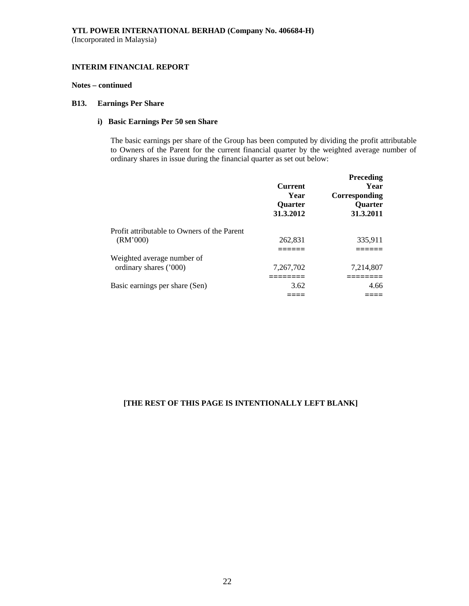# **INTERIM FINANCIAL REPORT**

### **Notes – continued**

# **B13. Earnings Per Share**

# **i) Basic Earnings Per 50 sen Share**

The basic earnings per share of the Group has been computed by dividing the profit attributable to Owners of the Parent for the current financial quarter by the weighted average number of ordinary shares in issue during the financial quarter as set out below:

|                                                         | <b>Current</b><br>Year<br>Quarter<br>31.3.2012 | Preceding<br>Year<br>Corresponding<br>Quarter<br>31.3.2011 |
|---------------------------------------------------------|------------------------------------------------|------------------------------------------------------------|
| Profit attributable to Owners of the Parent<br>(RM'000) | 262,831                                        | 335,911                                                    |
| Weighted average number of                              |                                                |                                                            |
| ordinary shares ('000)                                  | 7.267.702                                      | 7,214,807                                                  |
| Basic earnings per share (Sen)                          | 3.62                                           | 4.66                                                       |
|                                                         |                                                |                                                            |